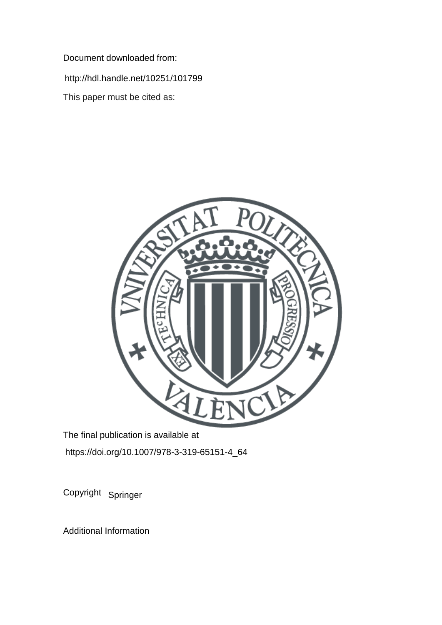Document downloaded from:

http://hdl.handle.net/10251/101799

This paper must be cited as:



The final publication is available at https://doi.org/10.1007/978-3-319-65151-4\_64

Copyright Springer

Additional Information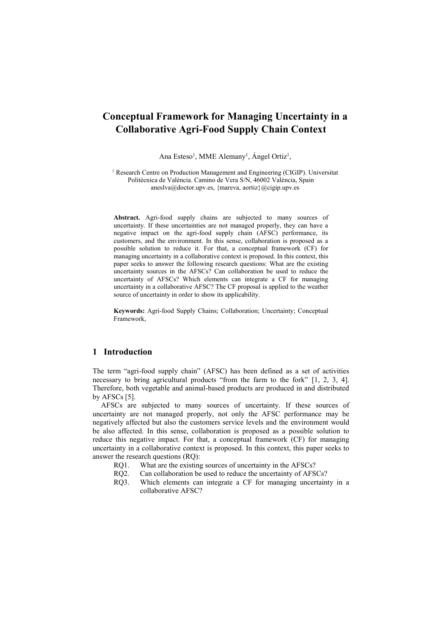# **Conceptual Framework for Managing Uncertainty in a Collaborative Agri-Food Supply Chain Context**

Ana Esteso<sup>1</sup>, MME Alemany<sup>1</sup>, Angel Ortiz<sup>1</sup>,

<sup>1</sup> Research Centre on Production Management and Engineering (CIGIP). Universitat Politècnica de València. Camino de Vera S/N, 46002 València, Spain aneslva@doctor.upv.es, {mareva, aortiz}@cigip.upv.es

**Abstract.** Agri-food supply chains are subjected to many sources of uncertainty. If these uncertainties are not managed properly, they can have a negative impact on the agri-food supply chain (AFSC) performance, its customers, and the environment. In this sense, collaboration is proposed as a possible solution to reduce it. For that, a conceptual framework (CF) for managing uncertainty in a collaborative context is proposed. In this context, this paper seeks to answer the following research questions: What are the existing uncertainty sources in the AFSCs? Can collaboration be used to reduce the uncertainty of AFSCs? Which elements can integrate a CF for managing uncertainty in a collaborative AFSC? The CF proposal is applied to the weather source of uncertainty in order to show its applicability.

**Keywords:** Agri-food Supply Chains; Collaboration; Uncertainty; Conceptual Framework,

### **1 Introduction**

The term "agri-food supply chain" (AFSC) has been defined as a set of activities necessary to bring agricultural products "from the farm to the fork" [1, 2, 3, 4]. Therefore, both vegetable and animal-based products are produced in and distributed by  $AFSCs$  [5].

AFSCs are subjected to many sources of uncertainty. If these sources of uncertainty are not managed properly, not only the AFSC performance may be negatively affected but also the customers service levels and the environment would be also affected. In this sense, collaboration is proposed as a possible solution to reduce this negative impact. For that, a conceptual framework (CF) for managing uncertainty in a collaborative context is proposed. In this context, this paper seeks to answer the research questions (RQ):

- RQ1. What are the existing sources of uncertainty in the AFSCs?
- RQ2. Can collaboration be used to reduce the uncertainty of AFSCs?
- RQ3. Which elements can integrate a CF for managing uncertainty in a collaborative AFSC?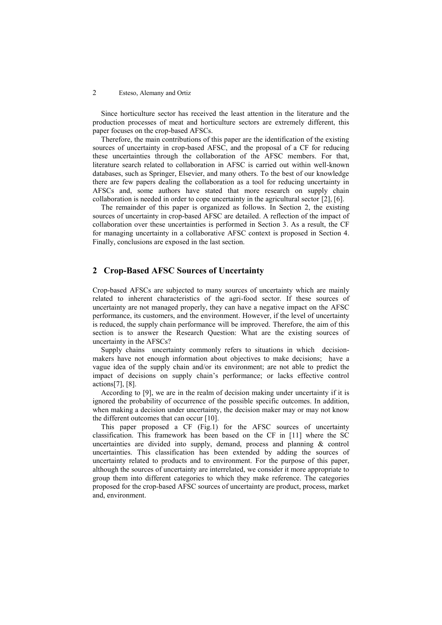Since horticulture sector has received the least attention in the literature and the production processes of meat and horticulture sectors are extremely different, this paper focuses on the crop-based AFSCs.

Therefore, the main contributions of this paper are the identification of the existing sources of uncertainty in crop-based AFSC, and the proposal of a CF for reducing these uncertainties through the collaboration of the AFSC members. For that, literature search related to collaboration in AFSC is carried out within well-known databases, such as Springer, Elsevier, and many others. To the best of our knowledge there are few papers dealing the collaboration as a tool for reducing uncertainty in AFSCs and, some authors have stated that more research on supply chain collaboration is needed in order to cope uncertainty in the agricultural sector [2], [6].

The remainder of this paper is organized as follows. In Section 2, the existing sources of uncertainty in crop-based AFSC are detailed. A reflection of the impact of collaboration over these uncertainties is performed in Section 3. As a result, the CF for managing uncertainty in a collaborative AFSC context is proposed in Section 4. Finally, conclusions are exposed in the last section.

#### **2 Crop-Based AFSC Sources of Uncertainty**

Crop-based AFSCs are subjected to many sources of uncertainty which are mainly related to inherent characteristics of the agri-food sector. If these sources of uncertainty are not managed properly, they can have a negative impact on the AFSC performance, its customers, and the environment. However, if the level of uncertainty is reduced, the supply chain performance will be improved. Therefore, the aim of this section is to answer the Research Question: What are the existing sources of uncertainty in the AFSCs?

Supply chains uncertainty commonly refers to situations in which decisionmakers have not enough information about objectives to make decisions; have a vague idea of the supply chain and/or its environment; are not able to predict the impact of decisions on supply chain's performance; or lacks effective control actions[7], [8].

According to [9], we are in the realm of decision making under uncertainty if it is ignored the probability of occurrence of the possible specific outcomes. In addition, when making a decision under uncertainty, the decision maker may or may not know the different outcomes that can occur [10].

This paper proposed a CF (Fig.1) for the AFSC sources of uncertainty classification. This framework has been based on the CF in [11] where the SC uncertainties are divided into supply, demand, process and planning & control uncertainties. This classification has been extended by adding the sources of uncertainty related to products and to environment. For the purpose of this paper, although the sources of uncertainty are interrelated, we consider it more appropriate to group them into different categories to which they make reference. The categories proposed for the crop-based AFSC sources of uncertainty are product, process, market and, environment.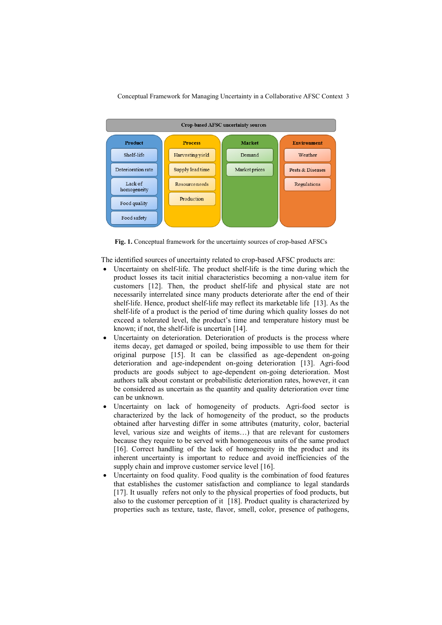

**Fig. 1.** Conceptual framework for the uncertainty sources of crop-based AFSCs

The identified sources of uncertainty related to crop-based AFSC products are:

- Uncertainty on shelf-life. The product shelf-life is the time during which the product losses its tacit initial characteristics becoming a non-value item for customers [12]. Then, the product shelf-life and physical state are not necessarily interrelated since many products deteriorate after the end of their shelf-life. Hence, product shelf-life may reflect its marketable life [13]. As the shelf-life of a product is the period of time during which quality losses do not exceed a tolerated level, the product's time and temperature history must be known; if not, the shelf-life is uncertain [14].
- Uncertainty on deterioration. Deterioration of products is the process where items decay, get damaged or spoiled, being impossible to use them for their original purpose [15]. It can be classified as age-dependent on-going deterioration and age-independent on-going deterioration [13]. Agri-food products are goods subject to age-dependent on-going deterioration. Most authors talk about constant or probabilistic deterioration rates, however, it can be considered as uncertain as the quantity and quality deterioration over time can be unknown.
- Uncertainty on lack of homogeneity of products. Agri-food sector is characterized by the lack of homogeneity of the product, so the products obtained after harvesting differ in some attributes (maturity, color, bacterial level, various size and weights of items…) that are relevant for customers because they require to be served with homogeneous units of the same product [16]. Correct handling of the lack of homogeneity in the product and its inherent uncertainty is important to reduce and avoid inefficiencies of the supply chain and improve customer service level [16].
- Uncertainty on food quality. Food quality is the combination of food features that establishes the customer satisfaction and compliance to legal standards [17]. It usually refers not only to the physical properties of food products, but also to the customer perception of it [18]. Product quality is characterized by properties such as texture, taste, flavor, smell, color, presence of pathogens,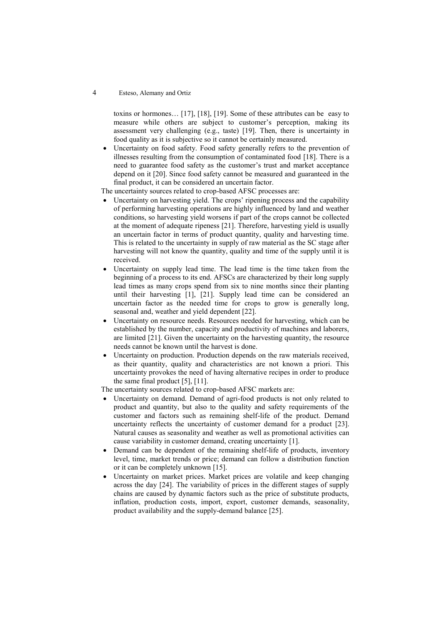toxins or hormones… [17], [18], [19]. Some of these attributes can be easy to measure while others are subject to customer's perception, making its assessment very challenging (e.g., taste) [19]. Then, there is uncertainty in food quality as it is subjective so it cannot be certainly measured.

 Uncertainty on food safety. Food safety generally refers to the prevention of illnesses resulting from the consumption of contaminated food [18]. There is a need to guarantee food safety as the customer's trust and market acceptance depend on it [20]. Since food safety cannot be measured and guaranteed in the final product, it can be considered an uncertain factor.

The uncertainty sources related to crop-based AFSC processes are:

- Uncertainty on harvesting yield. The crops' ripening process and the capability of performing harvesting operations are highly influenced by land and weather conditions, so harvesting yield worsens if part of the crops cannot be collected at the moment of adequate ripeness [21]. Therefore, harvesting yield is usually an uncertain factor in terms of product quantity, quality and harvesting time. This is related to the uncertainty in supply of raw material as the SC stage after harvesting will not know the quantity, quality and time of the supply until it is received.
- Uncertainty on supply lead time. The lead time is the time taken from the beginning of a process to its end. AFSCs are characterized by their long supply lead times as many crops spend from six to nine months since their planting until their harvesting [1], [21]. Supply lead time can be considered an uncertain factor as the needed time for crops to grow is generally long, seasonal and, weather and yield dependent [22].
- Uncertainty on resource needs. Resources needed for harvesting, which can be established by the number, capacity and productivity of machines and laborers, are limited [21]. Given the uncertainty on the harvesting quantity, the resource needs cannot be known until the harvest is done.
- Uncertainty on production. Production depends on the raw materials received, as their quantity, quality and characteristics are not known a priori. This uncertainty provokes the need of having alternative recipes in order to produce the same final product [5], [11].

The uncertainty sources related to crop-based AFSC markets are:

- Uncertainty on demand. Demand of agri-food products is not only related to product and quantity, but also to the quality and safety requirements of the customer and factors such as remaining shelf-life of the product. Demand uncertainty reflects the uncertainty of customer demand for a product [23]. Natural causes as seasonality and weather as well as promotional activities can cause variability in customer demand, creating uncertainty [1].
- Demand can be dependent of the remaining shelf-life of products, inventory level, time, market trends or price; demand can follow a distribution function or it can be completely unknown [15].
- Uncertainty on market prices. Market prices are volatile and keep changing across the day [24]. The variability of prices in the different stages of supply chains are caused by dynamic factors such as the price of substitute products, inflation, production costs, import, export, customer demands, seasonality, product availability and the supply-demand balance [25].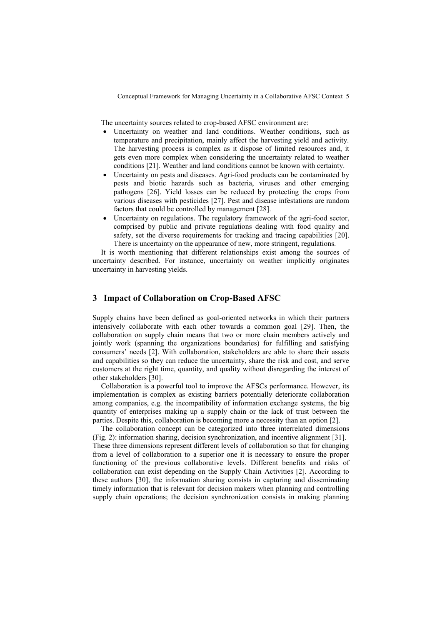The uncertainty sources related to crop-based AFSC environment are:

- Uncertainty on weather and land conditions. Weather conditions, such as temperature and precipitation, mainly affect the harvesting yield and activity. The harvesting process is complex as it dispose of limited resources and, it gets even more complex when considering the uncertainty related to weather conditions [21]. Weather and land conditions cannot be known with certainty.
- Uncertainty on pests and diseases. Agri-food products can be contaminated by pests and biotic hazards such as bacteria, viruses and other emerging pathogens [26]. Yield losses can be reduced by protecting the crops from various diseases with pesticides [27]. Pest and disease infestations are random factors that could be controlled by management [28].
- Uncertainty on regulations. The regulatory framework of the agri-food sector, comprised by public and private regulations dealing with food quality and safety, set the diverse requirements for tracking and tracing capabilities [20]. There is uncertainty on the appearance of new, more stringent, regulations.

It is worth mentioning that different relationships exist among the sources of uncertainty described. For instance, uncertainty on weather implicitly originates uncertainty in harvesting yields.

## **3 Impact of Collaboration on Crop-Based AFSC**

Supply chains have been defined as goal-oriented networks in which their partners intensively collaborate with each other towards a common goal [29]. Then, the collaboration on supply chain means that two or more chain members actively and jointly work (spanning the organizations boundaries) for fulfilling and satisfying consumers' needs [2]. With collaboration, stakeholders are able to share their assets and capabilities so they can reduce the uncertainty, share the risk and cost, and serve customers at the right time, quantity, and quality without disregarding the interest of other stakeholders [30].

Collaboration is a powerful tool to improve the AFSCs performance. However, its implementation is complex as existing barriers potentially deteriorate collaboration among companies, e.g. the incompatibility of information exchange systems, the big quantity of enterprises making up a supply chain or the lack of trust between the parties. Despite this, collaboration is becoming more a necessity than an option [2].

The collaboration concept can be categorized into three interrelated dimensions (Fig. 2): information sharing, decision synchronization, and incentive alignment [31]. These three dimensions represent different levels of collaboration so that for changing from a level of collaboration to a superior one it is necessary to ensure the proper functioning of the previous collaborative levels. Different benefits and risks of collaboration can exist depending on the Supply Chain Activities [2]. According to these authors [30], the information sharing consists in capturing and disseminating timely information that is relevant for decision makers when planning and controlling supply chain operations; the decision synchronization consists in making planning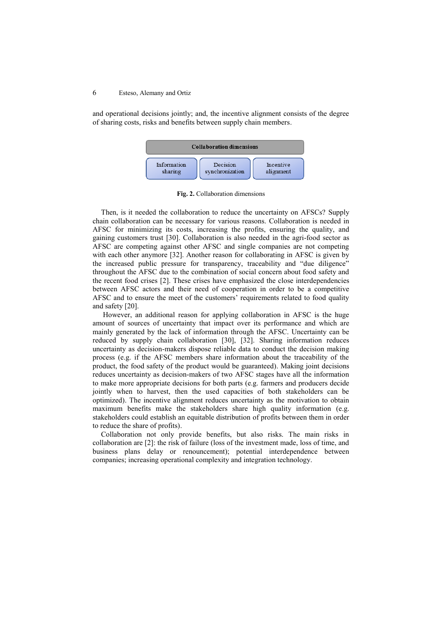and operational decisions jointly; and, the incentive alignment consists of the degree of sharing costs, risks and benefits between supply chain members.



**Fig. 2.** Collaboration dimensions

Then, is it needed the collaboration to reduce the uncertainty on AFSCs? Supply chain collaboration can be necessary for various reasons. Collaboration is needed in AFSC for minimizing its costs, increasing the profits, ensuring the quality, and gaining customers trust [30]. Collaboration is also needed in the agri-food sector as AFSC are competing against other AFSC and single companies are not competing with each other anymore [32]. Another reason for collaborating in AFSC is given by the increased public pressure for transparency, traceability and "due diligence" throughout the AFSC due to the combination of social concern about food safety and the recent food crises [2]. These crises have emphasized the close interdependencies between AFSC actors and their need of cooperation in order to be a competitive AFSC and to ensure the meet of the customers' requirements related to food quality and safety [20].

However, an additional reason for applying collaboration in AFSC is the huge amount of sources of uncertainty that impact over its performance and which are mainly generated by the lack of information through the AFSC. Uncertainty can be reduced by supply chain collaboration [30], [32]. Sharing information reduces uncertainty as decision-makers dispose reliable data to conduct the decision making process (e.g. if the AFSC members share information about the traceability of the product, the food safety of the product would be guaranteed). Making joint decisions reduces uncertainty as decision-makers of two AFSC stages have all the information to make more appropriate decisions for both parts (e.g. farmers and producers decide jointly when to harvest, then the used capacities of both stakeholders can be optimized). The incentive alignment reduces uncertainty as the motivation to obtain maximum benefits make the stakeholders share high quality information (e.g. stakeholders could establish an equitable distribution of profits between them in order to reduce the share of profits).

Collaboration not only provide benefits, but also risks. The main risks in collaboration are [2]: the risk of failure (loss of the investment made, loss of time, and business plans delay or renouncement); potential interdependence between companies; increasing operational complexity and integration technology.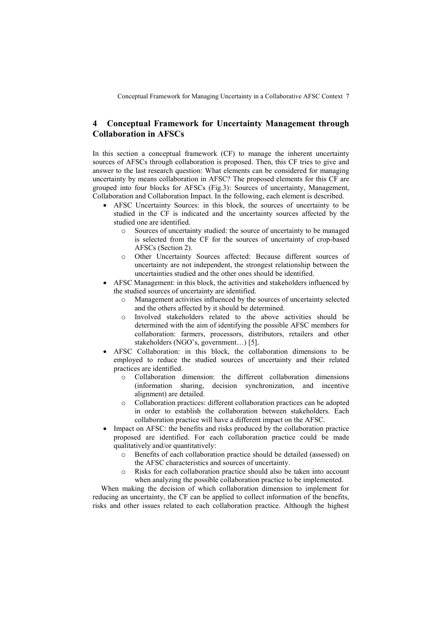# **4 Conceptual Framework for Uncertainty Management through Collaboration in AFSCs**

In this section a conceptual framework (CF) to manage the inherent uncertainty sources of AFSCs through collaboration is proposed. Then, this CF tries to give and answer to the last research question: What elements can be considered for managing uncertainty by means collaboration in AFSC? The proposed elements for this CF are grouped into four blocks for AFSCs (Fig.3): Sources of uncertainty, Management, Collaboration and Collaboration Impact. In the following, each element is described.

- AFSC Uncertainty Sources: in this block, the sources of uncertainty to be studied in the CF is indicated and the uncertainty sources affected by the studied one are identified.
	- o Sources of uncertainty studied: the source of uncertainty to be managed is selected from the CF for the sources of uncertainty of crop-based AFSCs (Section 2).
	- o Other Uncertainty Sources affected: Because different sources of uncertainty are not independent, the strongest relationship between the uncertainties studied and the other ones should be identified.
- AFSC Management: in this block, the activities and stakeholders influenced by the studied sources of uncertainty are identified.
	- o Management activities influenced by the sources of uncertainty selected and the others affected by it should be determined.
	- o Involved stakeholders related to the above activities should be determined with the aim of identifying the possible AFSC members for collaboration: farmers, processors, distributors, retailers and other stakeholders (NGO's, government…) [5].
- AFSC Collaboration: in this block, the collaboration dimensions to be employed to reduce the studied sources of uncertainty and their related practices are identified.
	- o Collaboration dimension: the different collaboration dimensions (information sharing, decision synchronization, and incentive alignment) are detailed.
	- o Collaboration practices: different collaboration practices can be adopted in order to establish the collaboration between stakeholders. Each collaboration practice will have a different impact on the AFSC.
- Impact on AFSC: the benefits and risks produced by the collaboration practice proposed are identified. For each collaboration practice could be made qualitatively and/or quantitatively:
	- o Benefits of each collaboration practice should be detailed (assessed) on the AFSC characteristics and sources of uncertainty.
	- o Risks for each collaboration practice should also be taken into account when analyzing the possible collaboration practice to be implemented.

When making the decision of which collaboration dimension to implement for reducing an uncertainty, the CF can be applied to collect information of the benefits, risks and other issues related to each collaboration practice. Although the highest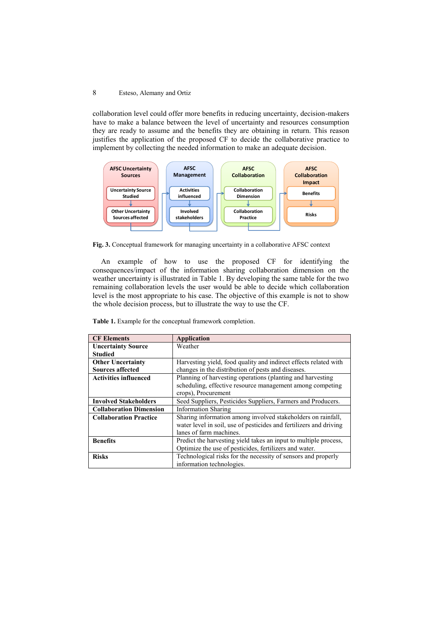collaboration level could offer more benefits in reducing uncertainty, decision-makers have to make a balance between the level of uncertainty and resources consumption they are ready to assume and the benefits they are obtaining in return. This reason justifies the application of the proposed CF to decide the collaborative practice to implement by collecting the needed information to make an adequate decision.



**Fig. 3.** Conceptual framework for managing uncertainty in a collaborative AFSC context

An example of how to use the proposed CF for identifying the consequences/impact of the information sharing collaboration dimension on the weather uncertainty is illustrated in Table 1. By developing the same table for the two remaining collaboration levels the user would be able to decide which collaboration level is the most appropriate to his case. The objective of this example is not to show the whole decision process, but to illustrate the way to use the CF.

| <b>CF Elements</b>             | <b>Application</b>                                                 |
|--------------------------------|--------------------------------------------------------------------|
| <b>Uncertainty Source</b>      | Weather                                                            |
| <b>Studied</b>                 |                                                                    |
| <b>Other Uncertainty</b>       | Harvesting yield, food quality and indirect effects related with   |
| <b>Sources affected</b>        | changes in the distribution of pests and diseases.                 |
| <b>Activities influenced</b>   | Planning of harvesting operations (planting and harvesting         |
|                                | scheduling, effective resource management among competing          |
|                                | crops), Procurement                                                |
| <b>Involved Stakeholders</b>   | Seed Suppliers, Pesticides Suppliers, Farmers and Producers.       |
| <b>Collaboration Dimension</b> | <b>Information Sharing</b>                                         |
| <b>Collaboration Practice</b>  | Sharing information among involved stakeholders on rainfall,       |
|                                | water level in soil, use of pesticides and fertilizers and driving |
|                                | lanes of farm machines.                                            |
| <b>Benefits</b>                | Predict the harvesting yield takes an input to multiple process,   |
|                                | Optimize the use of pesticides, fertilizers and water.             |
| <b>Risks</b>                   | Technological risks for the necessity of sensors and properly      |
|                                | information technologies.                                          |

**Table 1.** Example for the conceptual framework completion.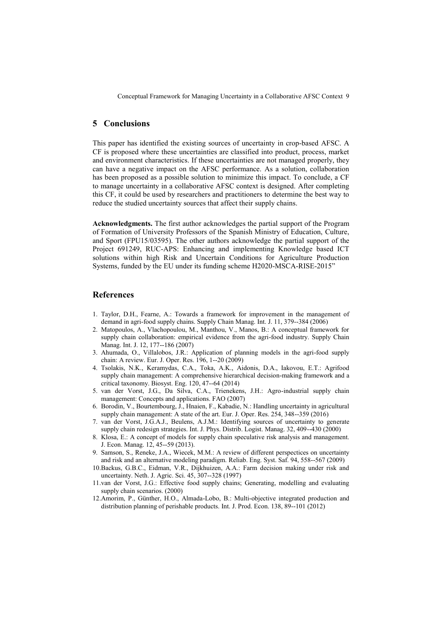#### **5 Conclusions**

This paper has identified the existing sources of uncertainty in crop-based AFSC. A CF is proposed where these uncertainties are classified into product, process, market and environment characteristics. If these uncertainties are not managed properly, they can have a negative impact on the AFSC performance. As a solution, collaboration has been proposed as a possible solution to minimize this impact. To conclude, a CF to manage uncertainty in a collaborative AFSC context is designed. After completing this CF, it could be used by researchers and practitioners to determine the best way to reduce the studied uncertainty sources that affect their supply chains.

**Acknowledgments.** The first author acknowledges the partial support of the Program of Formation of University Professors of the Spanish Ministry of Education, Culture, and Sport (FPU15/03595). The other authors acknowledge the partial support of the Project 691249, RUC-APS: Enhancing and implementing Knowledge based ICT solutions within high Risk and Uncertain Conditions for Agriculture Production Systems, funded by the EU under its funding scheme H2020-MSCA-RISE-2015"

#### **References**

- 1. Taylor, D.H., Fearne, A.: Towards a framework for improvement in the management of demand in agri-food supply chains. Supply Chain Manag. Int. J. 11, 379--384 (2006)
- 2. Matopoulos, A., Vlachopoulou, M., Manthou, V., Manos, B.: A conceptual framework for supply chain collaboration: empirical evidence from the agri-food industry. Supply Chain Manag. Int. J. 12, 177--186 (2007)
- 3. Ahumada, O., Villalobos, J.R.: Application of planning models in the agri-food supply chain: A review. Eur. J. Oper. Res. 196, 1--20 (2009)
- 4. Tsolakis, N.K., Keramydas, C.A., Toka, A.K., Aidonis, D.A., Iakovou, E.T.: Agrifood supply chain management: A comprehensive hierarchical decision-making framework and a critical taxonomy. Biosyst. Eng. 120, 47--64 (2014)
- 5. van der Vorst, J.G., Da Silva, C.A., Trienekens, J.H.: Agro-industrial supply chain management: Concepts and applications. FAO (2007)
- 6. Borodin, V., Bourtembourg, J., Hnaien, F., Kabadie, N.: Handling uncertainty in agricultural supply chain management: A state of the art. Eur. J. Oper. Res. 254, 348--359 (2016)
- 7. van der Vorst, J.G.A.J., Beulens, A.J.M.: Identifying sources of uncertainty to generate supply chain redesign strategies. Int. J. Phys. Distrib. Logist. Manag. 32, 409--430 (2000)
- 8. Klosa, E.: A concept of models for supply chain speculative risk analysis and management. J. Econ. Manag. 12, 45--59 (2013).
- 9. Samson, S., Reneke, J.A., Wiecek, M.M.: A review of different perspectices on uncertainty and risk and an alternative modeling paradigm. Reliab. Eng. Syst. Saf. 94, 558--567 (2009)
- 10.Backus, G.B.C., Eidman, V.R., Dijkhuizen, A.A.: Farm decision making under risk and uncertainty. Neth. J. Agric. Sci. 45, 307--328 (1997)
- 11.van der Vorst, J.G.: Effective food supply chains; Generating, modelling and evaluating supply chain scenarios. (2000)
- 12.Amorim, P., Günther, H.O., Almada-Lobo, B.: Multi-objective integrated production and distribution planning of perishable products. Int. J. Prod. Econ. 138, 89--101 (2012)